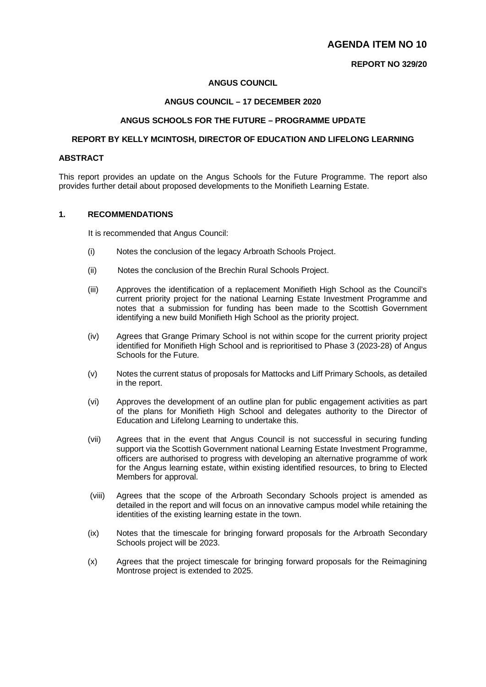# **AGENDA ITEM NO 10**

## **REPORT NO 329/20**

## **ANGUS COUNCIL**

## **ANGUS COUNCIL – 17 DECEMBER 2020**

## **ANGUS SCHOOLS FOR THE FUTURE – PROGRAMME UPDATE**

## **REPORT BY KELLY MCINTOSH, DIRECTOR OF EDUCATION AND LIFELONG LEARNING**

## **ABSTRACT**

This report provides an update on the Angus Schools for the Future Programme. The report also provides further detail about proposed developments to the Monifieth Learning Estate.

#### **1. RECOMMENDATIONS**

It is recommended that Angus Council:

- (i) Notes the conclusion of the legacy Arbroath Schools Project.
- (ii) Notes the conclusion of the Brechin Rural Schools Project.
- (iii) Approves the identification of a replacement Monifieth High School as the Council's current priority project for the national Learning Estate Investment Programme and notes that a submission for funding has been made to the Scottish Government identifying a new build Monifieth High School as the priority project.
- (iv) Agrees that Grange Primary School is not within scope for the current priority project identified for Monifieth High School and is reprioritised to Phase 3 (2023-28) of Angus Schools for the Future.
- (v) Notes the current status of proposals for Mattocks and Liff Primary Schools, as detailed in the report.
- (vi) Approves the development of an outline plan for public engagement activities as part of the plans for Monifieth High School and delegates authority to the Director of Education and Lifelong Learning to undertake this.
- (vii) Agrees that in the event that Angus Council is not successful in securing funding support via the Scottish Government national Learning Estate Investment Programme, officers are authorised to progress with developing an alternative programme of work for the Angus learning estate, within existing identified resources, to bring to Elected Members for approval.
- (viii) Agrees that the scope of the Arbroath Secondary Schools project is amended as detailed in the report and will focus on an innovative campus model while retaining the identities of the existing learning estate in the town.
- (ix) Notes that the timescale for bringing forward proposals for the Arbroath Secondary Schools project will be 2023.
- (x) Agrees that the project timescale for bringing forward proposals for the Reimagining Montrose project is extended to 2025.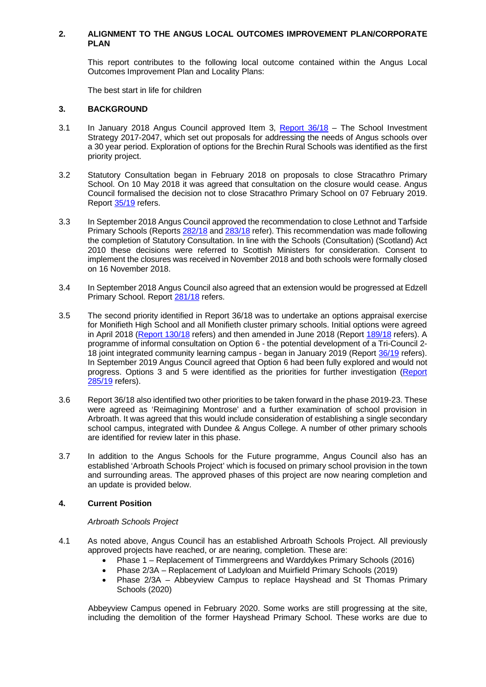## **2. ALIGNMENT TO THE ANGUS LOCAL OUTCOMES IMPROVEMENT PLAN/CORPORATE PLAN**

This report contributes to the following local outcome contained within the Angus Local Outcomes Improvement Plan and Locality Plans:

The best start in life for children

#### **3. BACKGROUND**

- 3.1 In January 2018 Angus Council approved Item 3, [Report 36/18](http://www.angus.gov.uk/sites/angus-cms/files/2018-01/36_0.pdf) The School Investment Strategy 2017-2047, which set out proposals for addressing the needs of Angus schools over a 30 year period. Exploration of options for the Brechin Rural Schools was identified as the first priority project.
- 3.2 Statutory Consultation began in February 2018 on proposals to close Stracathro Primary School. On 10 May 2018 it was agreed that consultation on the closure would cease. Angus Council formalised the decision not to close Stracathro Primary School on 07 February 2019. Report [35/19](https://www.angus.gov.uk/sites/default/files/2019-01/35_0.pdf) refers.
- 3.3 In September 2018 Angus Council approved the recommendation to close Lethnot and Tarfside Primary Schools (Report[s 282/18](https://www.angus.gov.uk/sites/default/files/2018-09/282.pdf) and [283/18](https://www.angus.gov.uk/sites/default/files/2018-09/283.pdf) refer). This recommendation was made following the completion of Statutory Consultation. In line with the Schools (Consultation) (Scotland) Act 2010 these decisions were referred to Scottish Ministers for consideration. Consent to implement the closures was received in November 2018 and both schools were formally closed on 16 November 2018.
- 3.4 In September 2018 Angus Council also agreed that an extension would be progressed at Edzell Primary School. Repor[t 281/18](https://www.angus.gov.uk/sites/default/files/2018-09/281.pdf) refers.
- 3.5 The second priority identified in Report 36/18 was to undertake an options appraisal exercise for Monifieth High School and all Monifieth cluster primary schools. Initial options were agreed in April 2018 [\(Report 130/18](http://www.angus.gov.uk/sites/angus-cms/files/2018-04/130.pdf) refers) and then amended in June 2018 (Report [189/18](https://www.angus.gov.uk/sites/angus-cms/files/2018-06/189.pdf) refers). A programme of informal consultation on Option 6 - the potential development of a Tri-Council 2- 18 joint integrated community learning campus - began in January 2019 (Report [36/19](http://www.angus.gov.uk/sites/angus-cms/files/2019-01/36.pdf) refers). In September 2019 Angus Council agreed that Option 6 had been fully explored and would not progress. Options 3 and 5 were identified as the priorities for further investigation [\(Report](https://www.angus.gov.uk/sites/default/files/2019-09/285.pdf)  [285/19](https://www.angus.gov.uk/sites/default/files/2019-09/285.pdf) refers).
- 3.6 Report 36/18 also identified two other priorities to be taken forward in the phase 2019-23. These were agreed as 'Reimagining Montrose' and a further examination of school provision in Arbroath. It was agreed that this would include consideration of establishing a single secondary school campus, integrated with Dundee & Angus College. A number of other primary schools are identified for review later in this phase.
- 3.7 In addition to the Angus Schools for the Future programme, Angus Council also has an established 'Arbroath Schools Project' which is focused on primary school provision in the town and surrounding areas. The approved phases of this project are now nearing completion and an update is provided below.

#### **4. Current Position**

#### *Arbroath Schools Project*

- 4.1 As noted above, Angus Council has an established Arbroath Schools Project. All previously approved projects have reached, or are nearing, completion. These are:
	- Phase 1 Replacement of Timmergreens and Warddykes Primary Schools (2016)
	- Phase 2/3A Replacement of Ladyloan and Muirfield Primary Schools (2019)
	- Phase 2/3A Abbeyview Campus to replace Hayshead and St Thomas Primary Schools (2020)

Abbeyview Campus opened in February 2020. Some works are still progressing at the site, including the demolition of the former Hayshead Primary School. These works are due to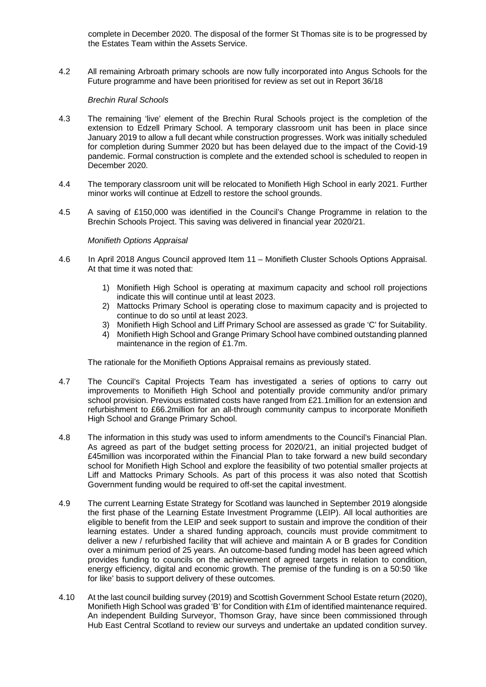complete in December 2020. The disposal of the former St Thomas site is to be progressed by the Estates Team within the Assets Service.

4.2 All remaining Arbroath primary schools are now fully incorporated into Angus Schools for the Future programme and have been prioritised for review as set out in Report 36/18

#### *Brechin Rural Schools*

- 4.3 The remaining 'live' element of the Brechin Rural Schools project is the completion of the extension to Edzell Primary School. A temporary classroom unit has been in place since January 2019 to allow a full decant while construction progresses. Work was initially scheduled for completion during Summer 2020 but has been delayed due to the impact of the Covid-19 pandemic. Formal construction is complete and the extended school is scheduled to reopen in December 2020.
- 4.4 The temporary classroom unit will be relocated to Monifieth High School in early 2021. Further minor works will continue at Edzell to restore the school grounds.
- 4.5 A saving of £150,000 was identified in the Council's Change Programme in relation to the Brechin Schools Project. This saving was delivered in financial year 2020/21.

## *Monifieth Options Appraisal*

- 4.6 In April 2018 Angus Council approved Item 11 Monifieth Cluster Schools Options Appraisal. At that time it was noted that:
	- 1) Monifieth High School is operating at maximum capacity and school roll projections indicate this will continue until at least 2023.
	- 2) Mattocks Primary School is operating close to maximum capacity and is projected to continue to do so until at least 2023.
	- 3) Monifieth High School and Liff Primary School are assessed as grade 'C' for Suitability.
	- 4) Monifieth High School and Grange Primary School have combined outstanding planned maintenance in the region of £1.7m.

The rationale for the Monifieth Options Appraisal remains as previously stated.

- 4.7 The Council's Capital Projects Team has investigated a series of options to carry out improvements to Monifieth High School and potentially provide community and/or primary school provision. Previous estimated costs have ranged from £21.1 million for an extension and refurbishment to £66.2million for an all-through community campus to incorporate Monifieth High School and Grange Primary School.
- 4.8 The information in this study was used to inform amendments to the Council's Financial Plan. As agreed as part of the budget setting process for 2020/21, an initial projected budget of £45million was incorporated within the Financial Plan to take forward a new build secondary school for Monifieth High School and explore the feasibility of two potential smaller projects at Liff and Mattocks Primary Schools. As part of this process it was also noted that Scottish Government funding would be required to off-set the capital investment.
- 4.9 The current Learning Estate Strategy for Scotland was launched in September 2019 alongside the first phase of the Learning Estate Investment Programme (LEIP). All local authorities are eligible to benefit from the LEIP and seek support to sustain and improve the condition of their learning estates. Under a shared funding approach, councils must provide commitment to deliver a new / refurbished facility that will achieve and maintain A or B grades for Condition over a minimum period of 25 years. An outcome-based funding model has been agreed which provides funding to councils on the achievement of agreed targets in relation to condition, energy efficiency, digital and economic growth. The premise of the funding is on a 50:50 'like for like' basis to support delivery of these outcomes.
- 4.10 At the last council building survey (2019) and Scottish Government School Estate return (2020), Monifieth High School was graded 'B' for Condition with £1m of identified maintenance required. An independent Building Surveyor, Thomson Gray, have since been commissioned through Hub East Central Scotland to review our surveys and undertake an updated condition survey.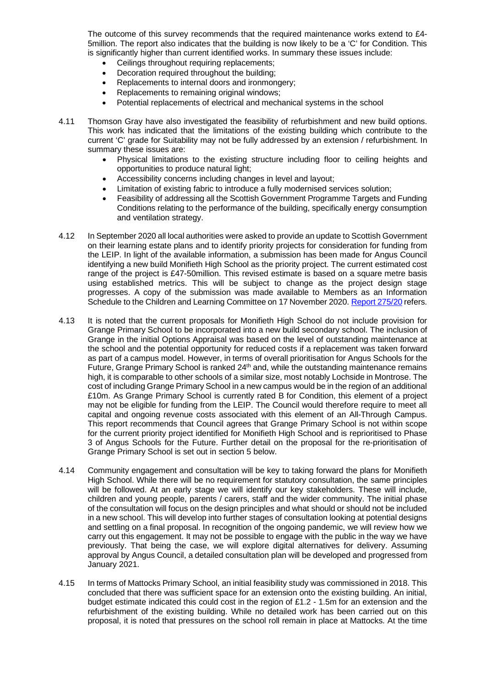The outcome of this survey recommends that the required maintenance works extend to £4- 5million. The report also indicates that the building is now likely to be a 'C' for Condition. This is significantly higher than current identified works. In summary these issues include:

- Ceilings throughout requiring replacements;
- Decoration required throughout the building;
- Replacements to internal doors and ironmongery;
- Replacements to remaining original windows;
- Potential replacements of electrical and mechanical systems in the school
- 4.11 Thomson Gray have also investigated the feasibility of refurbishment and new build options. This work has indicated that the limitations of the existing building which contribute to the current 'C' grade for Suitability may not be fully addressed by an extension / refurbishment. In summary these issues are:
	- Physical limitations to the existing structure including floor to ceiling heights and opportunities to produce natural light;
	- Accessibility concerns including changes in level and layout;
	- Limitation of existing fabric to introduce a fully modernised services solution;
	- Feasibility of addressing all the Scottish Government Programme Targets and Funding Conditions relating to the performance of the building, specifically energy consumption and ventilation strategy.
- 4.12 In September 2020 all local authorities were asked to provide an update to Scottish Government on their learning estate plans and to identify priority projects for consideration for funding from the LEIP. In light of the available information, a submission has been made for Angus Council identifying a new build Monifieth High School as the priority project. The current estimated cost range of the project is £47-50million. This revised estimate is based on a square metre basis using established metrics. This will be subject to change as the project design stage progresses. A copy of the submission was made available to Members as an Information Schedule to the Children and Learning Committee on 17 November 2020. [Report 275/20](https://www.angus.gov.uk/media/agenda_item_no_5_report_no_27520_information_report_for_the_period_8_september_2020_to_3_november_2) refers.
- 4.13 It is noted that the current proposals for Monifieth High School do not include provision for Grange Primary School to be incorporated into a new build secondary school. The inclusion of Grange in the initial Options Appraisal was based on the level of outstanding maintenance at the school and the potential opportunity for reduced costs if a replacement was taken forward as part of a campus model. However, in terms of overall prioritisation for Angus Schools for the Future, Grange Primary School is ranked  $24<sup>th</sup>$  and, while the outstanding maintenance remains high, it is comparable to other schools of a similar size, most notably Lochside in Montrose. The cost of including Grange Primary School in a new campus would be in the region of an additional £10m. As Grange Primary School is currently rated B for Condition, this element of a project may not be eligible for funding from the LEIP. The Council would therefore require to meet all capital and ongoing revenue costs associated with this element of an All-Through Campus. This report recommends that Council agrees that Grange Primary School is not within scope for the current priority project identified for Monifieth High School and is reprioritised to Phase 3 of Angus Schools for the Future. Further detail on the proposal for the re-prioritisation of Grange Primary School is set out in section 5 below.
- 4.14 Community engagement and consultation will be key to taking forward the plans for Monifieth High School. While there will be no requirement for statutory consultation, the same principles will be followed. At an early stage we will identify our key stakeholders. These will include, children and young people, parents / carers, staff and the wider community. The initial phase of the consultation will focus on the design principles and what should or should not be included in a new school. This will develop into further stages of consultation looking at potential designs and settling on a final proposal. In recognition of the ongoing pandemic, we will review how we carry out this engagement. It may not be possible to engage with the public in the way we have previously. That being the case, we will explore digital alternatives for delivery. Assuming approval by Angus Council, a detailed consultation plan will be developed and progressed from January 2021.
- 4.15 In terms of Mattocks Primary School, an initial feasibility study was commissioned in 2018. This concluded that there was sufficient space for an extension onto the existing building. An initial, budget estimate indicated this could cost in the region of £1.2 - 1.5m for an extension and the refurbishment of the existing building. While no detailed work has been carried out on this proposal, it is noted that pressures on the school roll remain in place at Mattocks. At the time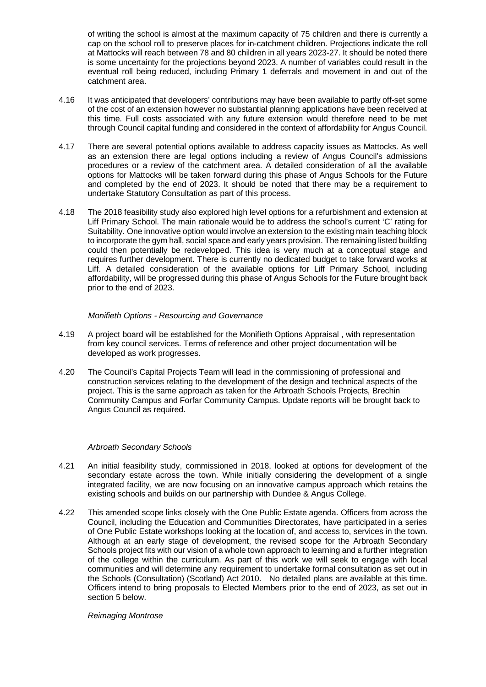of writing the school is almost at the maximum capacity of 75 children and there is currently a cap on the school roll to preserve places for in-catchment children. Projections indicate the roll at Mattocks will reach between 78 and 80 children in all years 2023-27. It should be noted there is some uncertainty for the projections beyond 2023. A number of variables could result in the eventual roll being reduced, including Primary 1 deferrals and movement in and out of the catchment area.

- 4.16 It was anticipated that developers' contributions may have been available to partly off-set some of the cost of an extension however no substantial planning applications have been received at this time. Full costs associated with any future extension would therefore need to be met through Council capital funding and considered in the context of affordability for Angus Council.
- 4.17 There are several potential options available to address capacity issues as Mattocks. As well as an extension there are legal options including a review of Angus Council's admissions procedures or a review of the catchment area. A detailed consideration of all the available options for Mattocks will be taken forward during this phase of Angus Schools for the Future and completed by the end of 2023. It should be noted that there may be a requirement to undertake Statutory Consultation as part of this process.
- 4.18 The 2018 feasibility study also explored high level options for a refurbishment and extension at Liff Primary School. The main rationale would be to address the school's current 'C' rating for Suitability. One innovative option would involve an extension to the existing main teaching block to incorporate the gym hall, social space and early years provision. The remaining listed building could then potentially be redeveloped. This idea is very much at a conceptual stage and requires further development. There is currently no dedicated budget to take forward works at Liff. A detailed consideration of the available options for Liff Primary School, including affordability, will be progressed during this phase of Angus Schools for the Future brought back prior to the end of 2023.

## *Monifieth Options - Resourcing and Governance*

- 4.19 A project board will be established for the Monifieth Options Appraisal , with representation from key council services. Terms of reference and other project documentation will be developed as work progresses.
- 4.20 The Council's Capital Projects Team will lead in the commissioning of professional and construction services relating to the development of the design and technical aspects of the project. This is the same approach as taken for the Arbroath Schools Projects, Brechin Community Campus and Forfar Community Campus. Update reports will be brought back to Angus Council as required.

#### *Arbroath Secondary Schools*

- 4.21 An initial feasibility study, commissioned in 2018, looked at options for development of the secondary estate across the town. While initially considering the development of a single integrated facility, we are now focusing on an innovative campus approach which retains the existing schools and builds on our partnership with Dundee & Angus College.
- 4.22 This amended scope links closely with the One Public Estate agenda. Officers from across the Council, including the Education and Communities Directorates, have participated in a series of One Public Estate workshops looking at the location of, and access to, services in the town. Although at an early stage of development, the revised scope for the Arbroath Secondary Schools project fits with our vision of a whole town approach to learning and a further integration of the college within the curriculum. As part of this work we will seek to engage with local communities and will determine any requirement to undertake formal consultation as set out in the Schools (Consultation) (Scotland) Act 2010. No detailed plans are available at this time. Officers intend to bring proposals to Elected Members prior to the end of 2023, as set out in section 5 below.

#### *Reimaging Montrose*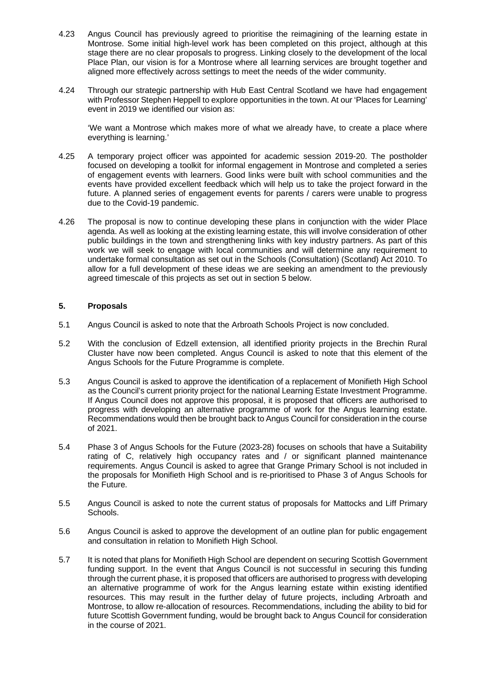- 4.23 Angus Council has previously agreed to prioritise the reimagining of the learning estate in Montrose. Some initial high-level work has been completed on this project, although at this stage there are no clear proposals to progress. Linking closely to the development of the local Place Plan, our vision is for a Montrose where all learning services are brought together and aligned more effectively across settings to meet the needs of the wider community.
- 4.24 Through our strategic partnership with Hub East Central Scotland we have had engagement with Professor Stephen Heppell to explore opportunities in the town. At our 'Places for Learning' event in 2019 we identified our vision as:

'We want a Montrose which makes more of what we already have, to create a place where everything is learning.'

- 4.25 A temporary project officer was appointed for academic session 2019-20. The postholder focused on developing a toolkit for informal engagement in Montrose and completed a series of engagement events with learners. Good links were built with school communities and the events have provided excellent feedback which will help us to take the project forward in the future. A planned series of engagement events for parents / carers were unable to progress due to the Covid-19 pandemic.
- 4.26 The proposal is now to continue developing these plans in conjunction with the wider Place agenda. As well as looking at the existing learning estate, this will involve consideration of other public buildings in the town and strengthening links with key industry partners. As part of this work we will seek to engage with local communities and will determine any requirement to undertake formal consultation as set out in the Schools (Consultation) (Scotland) Act 2010. To allow for a full development of these ideas we are seeking an amendment to the previously agreed timescale of this projects as set out in section 5 below.

## **5. Proposals**

- 5.1 Angus Council is asked to note that the Arbroath Schools Project is now concluded.
- 5.2 With the conclusion of Edzell extension, all identified priority projects in the Brechin Rural Cluster have now been completed. Angus Council is asked to note that this element of the Angus Schools for the Future Programme is complete.
- 5.3 Angus Council is asked to approve the identification of a replacement of Monifieth High School as the Council's current priority project for the national Learning Estate Investment Programme. If Angus Council does not approve this proposal, it is proposed that officers are authorised to progress with developing an alternative programme of work for the Angus learning estate. Recommendations would then be brought back to Angus Council for consideration in the course of 2021.
- 5.4 Phase 3 of Angus Schools for the Future (2023-28) focuses on schools that have a Suitability rating of C, relatively high occupancy rates and / or significant planned maintenance requirements. Angus Council is asked to agree that Grange Primary School is not included in the proposals for Monifieth High School and is re-prioritised to Phase 3 of Angus Schools for the Future.
- 5.5 Angus Council is asked to note the current status of proposals for Mattocks and Liff Primary Schools.
- 5.6 Angus Council is asked to approve the development of an outline plan for public engagement and consultation in relation to Monifieth High School.
- 5.7 It is noted that plans for Monifieth High School are dependent on securing Scottish Government funding support. In the event that Angus Council is not successful in securing this funding through the current phase, it is proposed that officers are authorised to progress with developing an alternative programme of work for the Angus learning estate within existing identified resources. This may result in the further delay of future projects, including Arbroath and Montrose, to allow re-allocation of resources. Recommendations, including the ability to bid for future Scottish Government funding, would be brought back to Angus Council for consideration in the course of 2021.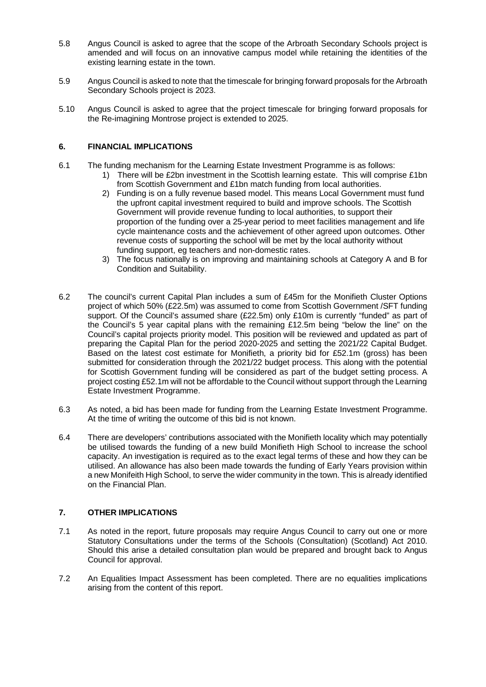- 5.8 Angus Council is asked to agree that the scope of the Arbroath Secondary Schools project is amended and will focus on an innovative campus model while retaining the identities of the existing learning estate in the town.
- 5.9 Angus Council is asked to note that the timescale for bringing forward proposals for the Arbroath Secondary Schools project is 2023.
- 5.10 Angus Council is asked to agree that the project timescale for bringing forward proposals for the Re-imagining Montrose project is extended to 2025.

## **6. FINANCIAL IMPLICATIONS**

- 6.1 The funding mechanism for the Learning Estate Investment Programme is as follows:
	- 1) There will be £2bn investment in the Scottish learning estate. This will comprise £1bn from Scottish Government and £1bn match funding from local authorities.
	- 2) Funding is on a fully revenue based model. This means Local Government must fund the upfront capital investment required to build and improve schools. The Scottish Government will provide revenue funding to local authorities, to support their proportion of the funding over a 25-year period to meet facilities management and life cycle maintenance costs and the achievement of other agreed upon outcomes. Other revenue costs of supporting the school will be met by the local authority without funding support, eg teachers and non-domestic rates.
	- 3) The focus nationally is on improving and maintaining schools at Category A and B for Condition and Suitability.
- 6.2 The council's current Capital Plan includes a sum of £45m for the Monifieth Cluster Options project of which 50% (£22.5m) was assumed to come from Scottish Government /SFT funding support. Of the Council's assumed share (£22.5m) only £10m is currently "funded" as part of the Council's 5 year capital plans with the remaining £12.5m being "below the line" on the Council's capital projects priority model. This position will be reviewed and updated as part of preparing the Capital Plan for the period 2020-2025 and setting the 2021/22 Capital Budget. Based on the latest cost estimate for Monifieth, a priority bid for £52.1m (gross) has been submitted for consideration through the 2021/22 budget process. This along with the potential for Scottish Government funding will be considered as part of the budget setting process. A project costing £52.1m will not be affordable to the Council without support through the Learning Estate Investment Programme.
- 6.3 As noted, a bid has been made for funding from the Learning Estate Investment Programme. At the time of writing the outcome of this bid is not known.
- 6.4 There are developers' contributions associated with the Monifieth locality which may potentially be utilised towards the funding of a new build Monifieth High School to increase the school capacity. An investigation is required as to the exact legal terms of these and how they can be utilised. An allowance has also been made towards the funding of Early Years provision within a new Monifeith High School, to serve the wider community in the town. This is already identified on the Financial Plan.

## **7. OTHER IMPLICATIONS**

- 7.1 As noted in the report, future proposals may require Angus Council to carry out one or more Statutory Consultations under the terms of the Schools (Consultation) (Scotland) Act 2010. Should this arise a detailed consultation plan would be prepared and brought back to Angus Council for approval.
- 7.2 An Equalities Impact Assessment has been completed. There are no equalities implications arising from the content of this report.